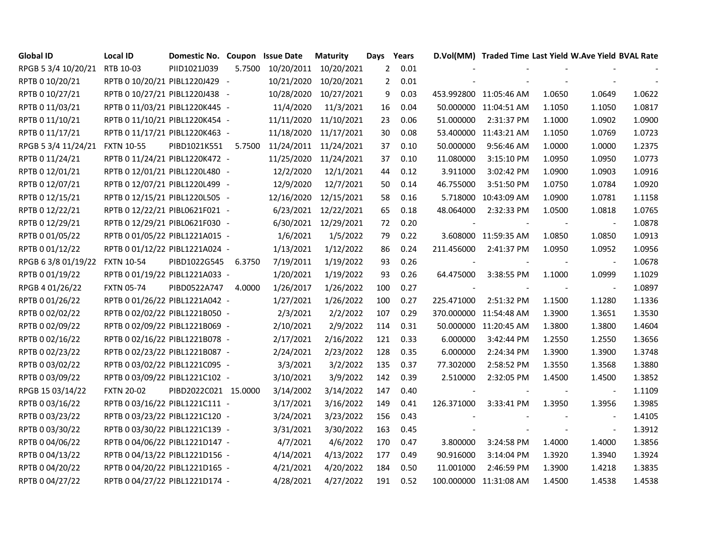| <b>Global ID</b>    | <b>Local ID</b>                | Domestic No. Coupon  |        | <b>Issue Date</b> | <b>Maturity</b>      | Days           | Years |            | D.Vol(MM) Traded Time Last Yield W.Ave Yield BVAL Rate |        |                          |        |
|---------------------|--------------------------------|----------------------|--------|-------------------|----------------------|----------------|-------|------------|--------------------------------------------------------|--------|--------------------------|--------|
| RPGB 5 3/4 10/20/21 | RTB 10-03                      | PIID1021J039         | 5.7500 | 10/20/2011        | 10/20/2021           | $2^{\circ}$    | 0.01  |            |                                                        |        |                          |        |
| RPTB 0 10/20/21     | RPTB 0 10/20/21 PIBL1220J429 - |                      |        | 10/21/2020        | 10/20/2021           | $\overline{2}$ | 0.01  |            |                                                        |        |                          |        |
| RPTB 0 10/27/21     | RPTB 0 10/27/21 PIBL1220J438 - |                      |        | 10/28/2020        | 10/27/2021           | 9              | 0.03  |            | 453.992800 11:05:46 AM                                 | 1.0650 | 1.0649                   | 1.0622 |
| RPTB 0 11/03/21     | RPTB 0 11/03/21 PIBL1220K445 - |                      |        | 11/4/2020         | 11/3/2021            | 16             | 0.04  |            | 50.000000 11:04:51 AM                                  | 1.1050 | 1.1050                   | 1.0817 |
| RPTB 0 11/10/21     | RPTB 0 11/10/21 PIBL1220K454 - |                      |        | 11/11/2020        | 11/10/2021           | 23             | 0.06  | 51.000000  | 2:31:37 PM                                             | 1.1000 | 1.0902                   | 1.0900 |
| RPTB 0 11/17/21     | RPTB 0 11/17/21 PIBL1220K463 - |                      |        | 11/18/2020        | 11/17/2021           | 30             | 0.08  | 53.400000  | 11:43:21 AM                                            | 1.1050 | 1.0769                   | 1.0723 |
| RPGB 5 3/4 11/24/21 | <b>FXTN 10-55</b>              | PIBD1021K551         | 5.7500 | 11/24/2011        | 11/24/2021           | 37             | 0.10  | 50.000000  | 9:56:46 AM                                             | 1.0000 | 1.0000                   | 1.2375 |
| RPTB 0 11/24/21     | RPTB 0 11/24/21 PIBL1220K472 - |                      |        | 11/25/2020        | 11/24/2021           | 37             | 0.10  | 11.080000  | 3:15:10 PM                                             | 1.0950 | 1.0950                   | 1.0773 |
| RPTB 0 12/01/21     | RPTB 0 12/01/21 PIBL1220L480 - |                      |        | 12/2/2020         | 12/1/2021            | 44             | 0.12  | 3.911000   | 3:02:42 PM                                             | 1.0900 | 1.0903                   | 1.0916 |
| RPTB 0 12/07/21     | RPTB 0 12/07/21 PIBL1220L499 - |                      |        | 12/9/2020         | 12/7/2021            | 50             | 0.14  | 46.755000  | 3:51:50 PM                                             | 1.0750 | 1.0784                   | 1.0920 |
| RPTB 0 12/15/21     | RPTB 0 12/15/21 PIBL1220L505 - |                      |        | 12/16/2020        | 12/15/2021           | 58             | 0.16  |            | 5.718000 10:43:09 AM                                   | 1.0900 | 1.0781                   | 1.1158 |
| RPTB 0 12/22/21     | RPTB 0 12/22/21 PIBL0621F021 - |                      |        | 6/23/2021         | 12/22/2021           | 65             | 0.18  | 48.064000  | 2:32:33 PM                                             | 1.0500 | 1.0818                   | 1.0765 |
| RPTB 0 12/29/21     | RPTB 0 12/29/21 PIBL0621F030 - |                      |        |                   | 6/30/2021 12/29/2021 | 72             | 0.20  |            |                                                        |        | $\blacksquare$           | 1.0878 |
| RPTB 0 01/05/22     | RPTB 0 01/05/22 PIBL1221A015 - |                      |        | 1/6/2021          | 1/5/2022             | 79             | 0.22  |            | 3.608000 11:59:35 AM                                   | 1.0850 | 1.0850                   | 1.0913 |
| RPTB 0 01/12/22     | RPTB 0 01/12/22 PIBL1221A024 - |                      |        | 1/13/2021         | 1/12/2022            | 86             | 0.24  | 211.456000 | 2:41:37 PM                                             | 1.0950 | 1.0952                   | 1.0956 |
| RPGB 6 3/8 01/19/22 | <b>FXTN 10-54</b>              | PIBD1022G545         | 6.3750 | 7/19/2011         | 1/19/2022            | 93             | 0.26  |            |                                                        |        | $\overline{\phantom{a}}$ | 1.0678 |
| RPTB 0 01/19/22     | RPTB 0 01/19/22 PIBL1221A033 - |                      |        | 1/20/2021         | 1/19/2022            | 93             | 0.26  | 64.475000  | 3:38:55 PM                                             | 1.1000 | 1.0999                   | 1.1029 |
| RPGB 4 01/26/22     | <b>FXTN 05-74</b>              | PIBD0522A747         | 4.0000 | 1/26/2017         | 1/26/2022            | 100            | 0.27  |            |                                                        |        | $\blacksquare$           | 1.0897 |
| RPTB 0 01/26/22     | RPTB 0 01/26/22 PIBL1221A042 - |                      |        | 1/27/2021         | 1/26/2022            | 100            | 0.27  | 225.471000 | 2:51:32 PM                                             | 1.1500 | 1.1280                   | 1.1336 |
| RPTB 0 02/02/22     | RPTB 0 02/02/22 PIBL1221B050 - |                      |        | 2/3/2021          | 2/2/2022             | 107            | 0.29  |            | 370.000000 11:54:48 AM                                 | 1.3900 | 1.3651                   | 1.3530 |
| RPTB 0 02/09/22     | RPTB 0 02/09/22 PIBL1221B069 - |                      |        | 2/10/2021         | 2/9/2022             | 114            | 0.31  |            | 50.000000 11:20:45 AM                                  | 1.3800 | 1.3800                   | 1.4604 |
| RPTB 0 02/16/22     | RPTB 0 02/16/22 PIBL1221B078 - |                      |        | 2/17/2021         | 2/16/2022            | 121            | 0.33  | 6.000000   | 3:42:44 PM                                             | 1.2550 | 1.2550                   | 1.3656 |
| RPTB 0 02/23/22     | RPTB 0 02/23/22 PIBL1221B087 - |                      |        | 2/24/2021         | 2/23/2022            | 128            | 0.35  | 6.000000   | 2:24:34 PM                                             | 1.3900 | 1.3900                   | 1.3748 |
| RPTB 0 03/02/22     | RPTB 0 03/02/22 PIBL1221C095 - |                      |        | 3/3/2021          | 3/2/2022             | 135            | 0.37  | 77.302000  | 2:58:52 PM                                             | 1.3550 | 1.3568                   | 1.3880 |
| RPTB 0 03/09/22     | RPTB 0 03/09/22 PIBL1221C102 - |                      |        | 3/10/2021         | 3/9/2022             | 142            | 0.39  | 2.510000   | 2:32:05 PM                                             | 1.4500 | 1.4500                   | 1.3852 |
| RPGB 15 03/14/22    | <b>FXTN 20-02</b>              | PIBD2022C021 15.0000 |        | 3/14/2002         | 3/14/2022            | 147            | 0.40  |            |                                                        |        |                          | 1.1109 |
| RPTB 0 03/16/22     | RPTB 0 03/16/22 PIBL1221C111 - |                      |        | 3/17/2021         | 3/16/2022            | 149            | 0.41  | 126.371000 | 3:33:41 PM                                             | 1.3950 | 1.3956                   | 1.3985 |
| RPTB 0 03/23/22     | RPTB 0 03/23/22 PIBL1221C120 - |                      |        | 3/24/2021         | 3/23/2022            | 156            | 0.43  |            |                                                        |        |                          | 1.4105 |
| RPTB 0 03/30/22     | RPTB 0 03/30/22 PIBL1221C139 - |                      |        | 3/31/2021         | 3/30/2022            | 163            | 0.45  |            |                                                        |        |                          | 1.3912 |
| RPTB 0 04/06/22     | RPTB 0 04/06/22 PIBL1221D147 - |                      |        | 4/7/2021          | 4/6/2022             | 170            | 0.47  | 3.800000   | 3:24:58 PM                                             | 1.4000 | 1.4000                   | 1.3856 |
| RPTB 0 04/13/22     | RPTB 0 04/13/22 PIBL1221D156 - |                      |        | 4/14/2021         | 4/13/2022            | 177            | 0.49  | 90.916000  | 3:14:04 PM                                             | 1.3920 | 1.3940                   | 1.3924 |
| RPTB 0 04/20/22     | RPTB 0 04/20/22 PIBL1221D165 - |                      |        | 4/21/2021         | 4/20/2022            | 184            | 0.50  | 11.001000  | 2:46:59 PM                                             | 1.3900 | 1.4218                   | 1.3835 |
| RPTB 0 04/27/22     | RPTB 0 04/27/22 PIBL1221D174 - |                      |        | 4/28/2021         | 4/27/2022            | 191            | 0.52  |            | 100.000000 11:31:08 AM                                 | 1.4500 | 1.4538                   | 1.4538 |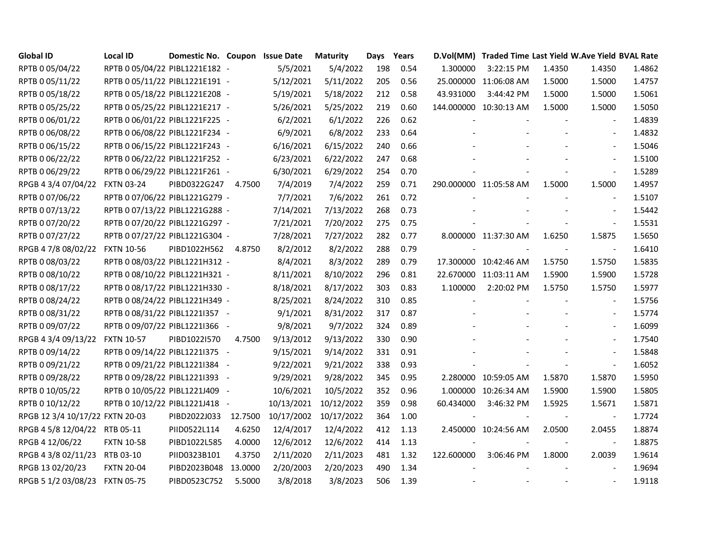| <b>Global ID</b>                | <b>Local ID</b>                | Domestic No. Coupon Issue Date |         |            | <b>Maturity</b> | Days | Years |            | D.Vol(MM) Traded Time Last Yield W.Ave Yield BVAL Rate |        |                          |        |
|---------------------------------|--------------------------------|--------------------------------|---------|------------|-----------------|------|-------|------------|--------------------------------------------------------|--------|--------------------------|--------|
| RPTB 0 05/04/22                 | RPTB 0 05/04/22 PIBL1221E182 - |                                |         | 5/5/2021   | 5/4/2022        | 198  | 0.54  | 1.300000   | 3:22:15 PM                                             | 1.4350 | 1.4350                   | 1.4862 |
| RPTB 0 05/11/22                 | RPTB 0 05/11/22 PIBL1221E191 - |                                |         | 5/12/2021  | 5/11/2022       | 205  | 0.56  |            | 25.000000 11:06:08 AM                                  | 1.5000 | 1.5000                   | 1.4757 |
| RPTB 0 05/18/22                 | RPTB 0 05/18/22 PIBL1221E208 - |                                |         | 5/19/2021  | 5/18/2022       | 212  | 0.58  | 43.931000  | 3:44:42 PM                                             | 1.5000 | 1.5000                   | 1.5061 |
| RPTB 0 05/25/22                 | RPTB 0 05/25/22 PIBL1221E217 - |                                |         | 5/26/2021  | 5/25/2022       | 219  | 0.60  |            | 144.000000 10:30:13 AM                                 | 1.5000 | 1.5000                   | 1.5050 |
| RPTB 0 06/01/22                 | RPTB 0 06/01/22 PIBL1221F225 - |                                |         | 6/2/2021   | 6/1/2022        | 226  | 0.62  |            |                                                        |        | $\blacksquare$           | 1.4839 |
| RPTB 0 06/08/22                 | RPTB 0 06/08/22 PIBL1221F234 - |                                |         | 6/9/2021   | 6/8/2022        | 233  | 0.64  |            |                                                        |        |                          | 1.4832 |
| RPTB 0 06/15/22                 | RPTB 0 06/15/22 PIBL1221F243 - |                                |         | 6/16/2021  | 6/15/2022       | 240  | 0.66  |            |                                                        |        |                          | 1.5046 |
| RPTB 0 06/22/22                 | RPTB 0 06/22/22 PIBL1221F252 - |                                |         | 6/23/2021  | 6/22/2022       | 247  | 0.68  |            |                                                        |        | $\overline{\phantom{a}}$ | 1.5100 |
| RPTB 0 06/29/22                 | RPTB 0 06/29/22 PIBL1221F261 - |                                |         | 6/30/2021  | 6/29/2022       | 254  | 0.70  |            |                                                        |        |                          | 1.5289 |
| RPGB 4 3/4 07/04/22             | <b>FXTN 03-24</b>              | PIBD0322G247                   | 4.7500  | 7/4/2019   | 7/4/2022        | 259  | 0.71  |            | 290.000000 11:05:58 AM                                 | 1.5000 | 1.5000                   | 1.4957 |
| RPTB 0 07/06/22                 | RPTB 0 07/06/22 PIBL1221G279 - |                                |         | 7/7/2021   | 7/6/2022        | 261  | 0.72  |            |                                                        |        |                          | 1.5107 |
| RPTB 0 07/13/22                 | RPTB 0 07/13/22 PIBL1221G288 - |                                |         | 7/14/2021  | 7/13/2022       | 268  | 0.73  |            |                                                        |        |                          | 1.5442 |
| RPTB 0 07/20/22                 | RPTB 0 07/20/22 PIBL1221G297 - |                                |         | 7/21/2021  | 7/20/2022       | 275  | 0.75  |            |                                                        |        | $\blacksquare$           | 1.5531 |
| RPTB 0 07/27/22                 | RPTB 0 07/27/22 PIBL1221G304 - |                                |         | 7/28/2021  | 7/27/2022       | 282  | 0.77  |            | 8.000000 11:37:30 AM                                   | 1.6250 | 1.5875                   | 1.5650 |
| RPGB 4 7/8 08/02/22             | <b>FXTN 10-56</b>              | PIBD1022H562                   | 4.8750  | 8/2/2012   | 8/2/2022        | 288  | 0.79  |            |                                                        | $\sim$ | $\blacksquare$           | 1.6410 |
| RPTB 0 08/03/22                 | RPTB 0 08/03/22 PIBL1221H312 - |                                |         | 8/4/2021   | 8/3/2022        | 289  | 0.79  |            | 17.300000 10:42:46 AM                                  | 1.5750 | 1.5750                   | 1.5835 |
| RPTB 0 08/10/22                 | RPTB 0 08/10/22 PIBL1221H321 - |                                |         | 8/11/2021  | 8/10/2022       | 296  | 0.81  |            | 22.670000 11:03:11 AM                                  | 1.5900 | 1.5900                   | 1.5728 |
| RPTB 0 08/17/22                 | RPTB 0 08/17/22 PIBL1221H330 - |                                |         | 8/18/2021  | 8/17/2022       | 303  | 0.83  | 1.100000   | 2:20:02 PM                                             | 1.5750 | 1.5750                   | 1.5977 |
| RPTB 0 08/24/22                 | RPTB 0 08/24/22 PIBL1221H349 - |                                |         | 8/25/2021  | 8/24/2022       | 310  | 0.85  |            |                                                        |        | $\blacksquare$           | 1.5756 |
| RPTB 0 08/31/22                 | RPTB 0 08/31/22 PIBL12211357 - |                                |         | 9/1/2021   | 8/31/2022       | 317  | 0.87  |            |                                                        |        | $\blacksquare$           | 1.5774 |
| RPTB 0 09/07/22                 | RPTB 0 09/07/22 PIBL1221I366 - |                                |         | 9/8/2021   | 9/7/2022        | 324  | 0.89  |            |                                                        |        |                          | 1.6099 |
| RPGB 4 3/4 09/13/22             | <b>FXTN 10-57</b>              | PIBD1022I570                   | 4.7500  | 9/13/2012  | 9/13/2022       | 330  | 0.90  |            |                                                        |        | $\overline{\phantom{a}}$ | 1.7540 |
| RPTB 0 09/14/22                 | RPTB 0 09/14/22 PIBL1221I375 - |                                |         | 9/15/2021  | 9/14/2022       | 331  | 0.91  |            |                                                        |        |                          | 1.5848 |
| RPTB 0 09/21/22                 | RPTB 0 09/21/22 PIBL1221I384 - |                                |         | 9/22/2021  | 9/21/2022       | 338  | 0.93  |            |                                                        |        | $\overline{\phantom{a}}$ | 1.6052 |
| RPTB 0 09/28/22                 | RPTB 0 09/28/22 PIBL12211393 - |                                |         | 9/29/2021  | 9/28/2022       | 345  | 0.95  |            | 2.280000 10:59:05 AM                                   | 1.5870 | 1.5870                   | 1.5950 |
| RPTB 0 10/05/22                 | RPTB 0 10/05/22 PIBL1221J409 - |                                |         | 10/6/2021  | 10/5/2022       | 352  | 0.96  | 1.000000   | 10:26:34 AM                                            | 1.5900 | 1.5900                   | 1.5805 |
| RPTB 0 10/12/22                 | RPTB 0 10/12/22 PIBL1221J418 - |                                |         | 10/13/2021 | 10/12/2022      | 359  | 0.98  | 60.434000  | 3:46:32 PM                                             | 1.5925 | 1.5671                   | 1.5871 |
| RPGB 12 3/4 10/17/22 FXTN 20-03 |                                | PIBD2022J033                   | 12.7500 | 10/17/2002 | 10/17/2022      | 364  | 1.00  |            |                                                        |        | $\overline{\phantom{a}}$ | 1.7724 |
| RPGB 4 5/8 12/04/22 RTB 05-11   |                                | PIID0522L114                   | 4.6250  | 12/4/2017  | 12/4/2022       | 412  | 1.13  |            | 2.450000 10:24:56 AM                                   | 2.0500 | 2.0455                   | 1.8874 |
| RPGB 4 12/06/22                 | <b>FXTN 10-58</b>              | PIBD1022L585                   | 4.0000  | 12/6/2012  | 12/6/2022       | 414  | 1.13  |            |                                                        |        | $\blacksquare$           | 1.8875 |
| RPGB 4 3/8 02/11/23             | RTB 03-10                      | PIID0323B101                   | 4.3750  | 2/11/2020  | 2/11/2023       | 481  | 1.32  | 122.600000 | 3:06:46 PM                                             | 1.8000 | 2.0039                   | 1.9614 |
| RPGB 13 02/20/23                | <b>FXTN 20-04</b>              | PIBD2023B048                   | 13.0000 | 2/20/2003  | 2/20/2023       | 490  | 1.34  |            |                                                        |        |                          | 1.9694 |
| RPGB 5 1/2 03/08/23             | <b>FXTN 05-75</b>              | PIBD0523C752                   | 5.5000  | 3/8/2018   | 3/8/2023        | 506  | 1.39  |            |                                                        |        |                          | 1.9118 |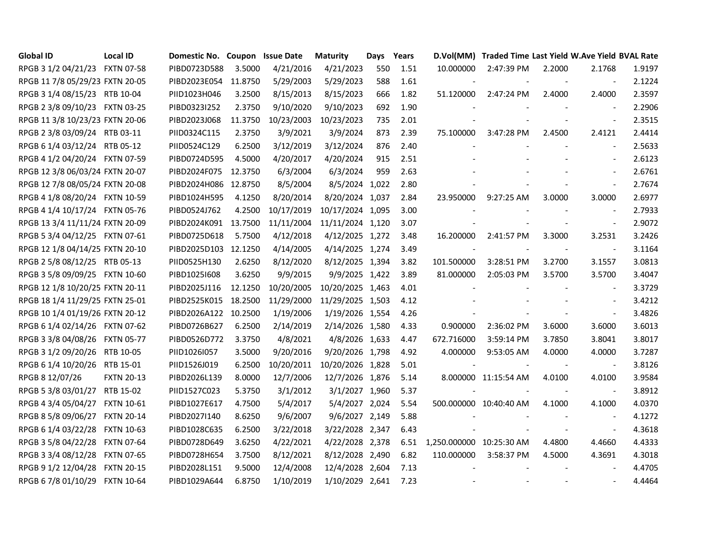| <b>Global ID</b>                | Local ID          | Domestic No. Coupon Issue Date |         |            | <b>Maturity</b>  | Days | Years |                          | D.Vol(MM) Traded Time Last Yield W.Ave Yield BVAL Rate |                          |                          |        |
|---------------------------------|-------------------|--------------------------------|---------|------------|------------------|------|-------|--------------------------|--------------------------------------------------------|--------------------------|--------------------------|--------|
| RPGB 3 1/2 04/21/23 FXTN 07-58  |                   | PIBD0723D588                   | 3.5000  | 4/21/2016  | 4/21/2023        | 550  | 1.51  | 10.000000                | 2:47:39 PM                                             | 2.2000                   | 2.1768                   | 1.9197 |
| RPGB 11 7/8 05/29/23 FXTN 20-05 |                   | PIBD2023E054 11.8750           |         | 5/29/2003  | 5/29/2023        | 588  | 1.61  |                          |                                                        |                          | $\overline{\phantom{a}}$ | 2.1224 |
| RPGB 3 1/4 08/15/23 RTB 10-04   |                   | PIID1023H046                   | 3.2500  | 8/15/2013  | 8/15/2023        | 666  | 1.82  | 51.120000                | 2:47:24 PM                                             | 2.4000                   | 2.4000                   | 2.3597 |
| RPGB 2 3/8 09/10/23 FXTN 03-25  |                   | PIBD0323I252                   | 2.3750  | 9/10/2020  | 9/10/2023        | 692  | 1.90  |                          |                                                        |                          |                          | 2.2906 |
| RPGB 11 3/8 10/23/23 FXTN 20-06 |                   | PIBD2023J068                   | 11.3750 | 10/23/2003 | 10/23/2023       | 735  | 2.01  |                          | $\sim$                                                 | $\sim$                   | $\blacksquare$           | 2.3515 |
| RPGB 2 3/8 03/09/24 RTB 03-11   |                   | PIID0324C115                   | 2.3750  | 3/9/2021   | 3/9/2024         | 873  | 2.39  | 75.100000                | 3:47:28 PM                                             | 2.4500                   | 2.4121                   | 2.4414 |
| RPGB 6 1/4 03/12/24 RTB 05-12   |                   | PIID0524C129                   | 6.2500  | 3/12/2019  | 3/12/2024        | 876  | 2.40  | $\overline{\phantom{a}}$ |                                                        |                          |                          | 2.5633 |
| RPGB 4 1/2 04/20/24 FXTN 07-59  |                   | PIBD0724D595                   | 4.5000  | 4/20/2017  | 4/20/2024        | 915  | 2.51  |                          |                                                        |                          | $\overline{\phantom{a}}$ | 2.6123 |
| RPGB 12 3/8 06/03/24 FXTN 20-07 |                   | PIBD2024F075                   | 12.3750 | 6/3/2004   | 6/3/2024         | 959  | 2.63  |                          |                                                        |                          | $\blacksquare$           | 2.6761 |
| RPGB 12 7/8 08/05/24 FXTN 20-08 |                   | PIBD2024H086 12.8750           |         | 8/5/2004   | 8/5/2024 1,022   |      | 2.80  |                          |                                                        |                          |                          | 2.7674 |
| RPGB 4 1/8 08/20/24 FXTN 10-59  |                   | PIBD1024H595                   | 4.1250  | 8/20/2014  | 8/20/2024 1,037  |      | 2.84  | 23.950000                | 9:27:25 AM                                             | 3.0000                   | 3.0000                   | 2.6977 |
| RPGB 4 1/4 10/17/24 FXTN 05-76  |                   | PIBD0524J762                   | 4.2500  | 10/17/2019 | 10/17/2024 1,095 |      | 3.00  |                          |                                                        |                          | $\overline{\phantom{a}}$ | 2.7933 |
| RPGB 13 3/4 11/11/24 FXTN 20-09 |                   | PIBD2024K091 13.7500           |         | 11/11/2004 | 11/11/2024 1,120 |      | 3.07  |                          |                                                        |                          | $\blacksquare$           | 2.9072 |
| RPGB 5 3/4 04/12/25 FXTN 07-61  |                   | PIBD0725D618                   | 5.7500  | 4/12/2018  | 4/12/2025 1,272  |      | 3.48  | 16.200000                | 2:41:57 PM                                             | 3.3000                   | 3.2531                   | 3.2426 |
| RPGB 12 1/8 04/14/25 FXTN 20-10 |                   | PIBD2025D103 12.1250           |         | 4/14/2005  | 4/14/2025 1,274  |      | 3.49  | $\overline{\phantom{a}}$ | $\sim$                                                 | $\overline{\phantom{a}}$ | $\sim$                   | 3.1164 |
| RPGB 2 5/8 08/12/25 RTB 05-13   |                   | PIID0525H130                   | 2.6250  | 8/12/2020  | 8/12/2025 1,394  |      | 3.82  | 101.500000               | 3:28:51 PM                                             | 3.2700                   | 3.1557                   | 3.0813 |
| RPGB 3 5/8 09/09/25 FXTN 10-60  |                   | PIBD10251608                   | 3.6250  | 9/9/2015   | 9/9/2025 1,422   |      | 3.89  | 81.000000                | 2:05:03 PM                                             | 3.5700                   | 3.5700                   | 3.4047 |
| RPGB 12 1/8 10/20/25 FXTN 20-11 |                   | PIBD2025J116                   | 12.1250 | 10/20/2005 | 10/20/2025 1,463 |      | 4.01  | $\sim$                   |                                                        |                          | $\blacksquare$           | 3.3729 |
| RPGB 18 1/4 11/29/25 FXTN 25-01 |                   | PIBD2525K015                   | 18.2500 | 11/29/2000 | 11/29/2025 1,503 |      | 4.12  |                          |                                                        |                          | $\blacksquare$           | 3.4212 |
| RPGB 10 1/4 01/19/26 FXTN 20-12 |                   | PIBD2026A122 10.2500           |         | 1/19/2006  | 1/19/2026 1,554  |      | 4.26  |                          |                                                        |                          | $\blacksquare$           | 3.4826 |
| RPGB 6 1/4 02/14/26 FXTN 07-62  |                   | PIBD0726B627                   | 6.2500  | 2/14/2019  | 2/14/2026 1,580  |      | 4.33  | 0.900000                 | 2:36:02 PM                                             | 3.6000                   | 3.6000                   | 3.6013 |
| RPGB 3 3/8 04/08/26 FXTN 05-77  |                   | PIBD0526D772                   | 3.3750  | 4/8/2021   | 4/8/2026 1,633   |      | 4.47  | 672.716000               | 3:59:14 PM                                             | 3.7850                   | 3.8041                   | 3.8017 |
| RPGB 3 1/2 09/20/26 RTB 10-05   |                   | PIID1026I057                   | 3.5000  | 9/20/2016  | 9/20/2026 1,798  |      | 4.92  | 4.000000                 | 9:53:05 AM                                             | 4.0000                   | 4.0000                   | 3.7287 |
| RPGB 6 1/4 10/20/26 RTB 15-01   |                   | PIID1526J019                   | 6.2500  | 10/20/2011 | 10/20/2026 1,828 |      | 5.01  | $\sim$                   |                                                        |                          | $\blacksquare$           | 3.8126 |
| RPGB 8 12/07/26                 | <b>FXTN 20-13</b> | PIBD2026L139                   | 8.0000  | 12/7/2006  | 12/7/2026 1,876  |      | 5.14  |                          | 8.000000 11:15:54 AM                                   | 4.0100                   | 4.0100                   | 3.9584 |
| RPGB 5 3/8 03/01/27 RTB 15-02   |                   | PIID1527C023                   | 5.3750  | 3/1/2012   | 3/1/2027 1,960   |      | 5.37  |                          |                                                        |                          |                          | 3.8912 |
| RPGB 4 3/4 05/04/27 FXTN 10-61  |                   | PIBD1027E617                   | 4.7500  | 5/4/2017   | 5/4/2027 2,024   |      | 5.54  |                          | 500.000000 10:40:40 AM                                 | 4.1000                   | 4.1000                   | 4.0370 |
| RPGB 8 5/8 09/06/27 FXTN 20-14  |                   | PIBD2027I140                   | 8.6250  | 9/6/2007   | 9/6/2027 2,149   |      | 5.88  |                          |                                                        |                          | $\sim$                   | 4.1272 |
| RPGB 6 1/4 03/22/28 FXTN 10-63  |                   | PIBD1028C635                   | 6.2500  | 3/22/2018  | 3/22/2028 2,347  |      | 6.43  |                          |                                                        |                          |                          | 4.3618 |
| RPGB 3 5/8 04/22/28 FXTN 07-64  |                   | PIBD0728D649                   | 3.6250  | 4/22/2021  | 4/22/2028 2,378  |      | 6.51  | 1,250.000000 10:25:30 AM |                                                        | 4.4800                   | 4.4660                   | 4.4333 |
| RPGB 3 3/4 08/12/28 FXTN 07-65  |                   | PIBD0728H654                   | 3.7500  | 8/12/2021  | 8/12/2028 2,490  |      | 6.82  | 110.000000               | 3:58:37 PM                                             | 4.5000                   | 4.3691                   | 4.3018 |
| RPGB 9 1/2 12/04/28 FXTN 20-15  |                   | PIBD2028L151                   | 9.5000  | 12/4/2008  | 12/4/2028 2,604  |      | 7.13  | $\overline{\phantom{a}}$ |                                                        |                          |                          | 4.4705 |
| RPGB 6 7/8 01/10/29 FXTN 10-64  |                   | PIBD1029A644                   | 6.8750  | 1/10/2019  | 1/10/2029 2,641  |      | 7.23  |                          | $\overline{\phantom{a}}$                               |                          | $\blacksquare$           | 4.4464 |